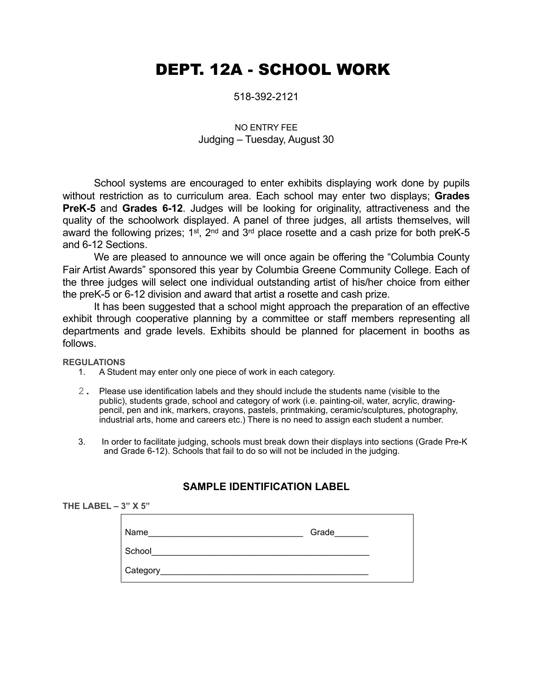# DEPT. 12A - SCHOOL WORK

#### 518-392-2121

## NO ENTRY FEE Judging – Tuesday, August 30

School systems are encouraged to enter exhibits displaying work done by pupils without restriction as to curriculum area. Each school may enter two displays; **Grades PreK-5** and **Grades 6-12**. Judges will be looking for originality, attractiveness and the quality of the schoolwork displayed. A panel of three judges, all artists themselves, will award the following prizes; 1<sup>st</sup>, 2<sup>nd</sup> and 3<sup>rd</sup> place rosette and a cash prize for both preK-5 and 6-12 Sections.

We are pleased to announce we will once again be offering the "Columbia County Fair Artist Awards" sponsored this year by Columbia Greene Community College. Each of the three judges will select one individual outstanding artist of his/her choice from either the preK-5 or 6-12 division and award that artist a rosette and cash prize.

It has been suggested that a school might approach the preparation of an effective exhibit through cooperative planning by a committee or staff members representing all departments and grade levels. Exhibits should be planned for placement in booths as follows.

**REGULATIONS**

- 1. A Student may enter only one piece of work in each category.
- 2. Please use identification labels and they should include the students name (visible to the public), students grade, school and category of work (i.e. painting-oil, water, acrylic, drawingpencil, pen and ink, markers, crayons, pastels, printmaking, ceramic/sculptures, photography, industrial arts, home and careers etc.) There is no need to assign each student a number.
- 3. In order to facilitate judging, schools must break down their displays into sections (Grade Pre-K and Grade 6-12). Schools that fail to do so will not be included in the judging.

## **SAMPLE IDENTIFICATION LABEL**

| THE LABEL $-3"$ X 5" |          |       |
|----------------------|----------|-------|
|                      | Name     | Grade |
|                      | School   |       |
|                      | Category |       |